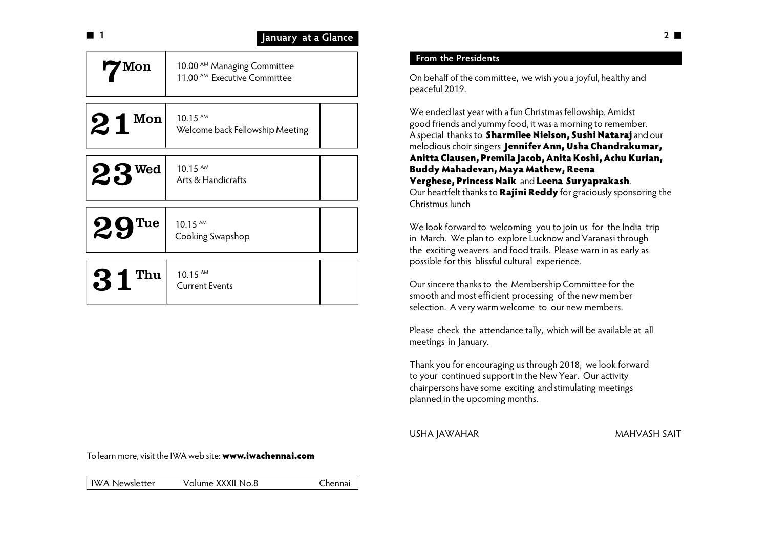|              | January at a Glance                                                               |
|--------------|-----------------------------------------------------------------------------------|
| <b>7 Mon</b> | 10.00 <sup>AM</sup> Managing Committee<br>11.00 <sup>AM</sup> Executive Committee |
| Mon<br>21    | $10.15^{AM}$<br>Welcome back Fellowship Meeting                                   |
| $23^{$ Wed   | $10.15$ AM<br>Arts & Handicrafts                                                  |
| $29^{Tue}$   | 10.15 AM<br>Cooking Swapshop                                                      |
| Thu<br>31    | 10.15 AM<br><b>Current Events</b>                                                 |

### **From the Presidents**

On behalf of the committee, we wish you a joyful, healthy and peaceful 2019.

We ended last year with a fun Christmas fellowship. Amidst good friends and yummy food, it was a morning to remember. A special thanks to **Sharmilee Nielson, Sushi Nataraj** and our melodious choir singers **Jennifer Ann, Usha Chandrakumar, Anitta Clausen, Premila Jacob, Anita Koshi, Achu Kurian, Buddy Mahadevan, Maya Mathew, Reena Verghese, Princess Naik** and **Leena Suryaprakash**. Our heartfelt thanks to **Rajini Reddy** for graciously sponsoring the Christmus lunch

We look forward to welcoming you to join us for the India trip in March. We plan to explore Lucknow and Varanasi through the exciting weavers and food trails. Please warn in as early as possible for this blissful cultural experience.

Our sincere thanks to the Membership Committee for the smooth and most efficient processing of the new member selection. A very warm welcome to our new members.

Please check the attendance tally, which will be available at all meetings in January.

Thank you for encouraging us through 2018, we look forward to your continued support in the New Year. Our activity chairpersons have some exciting and stimulating meetings planned in the upcoming months.

USHA JAWAHAR MAHVASH SAIT

To learn more, visit the IWA web site: **www.iwachennai.com**

IWA Newsletter Volume XXXII No.8 Chennai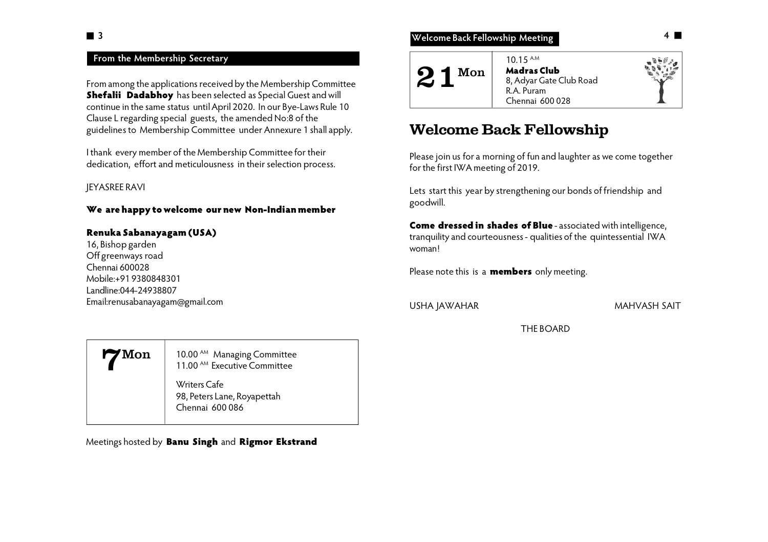### **From the Membership Secretary**

From among the applications received by the Membership Committee **Shefalii Dadabhoy** has been selected as Special Guest and will continue in the same status until April 2020. In our Bye-Laws Rule 10 Clause L regarding special guests, the amended No:8 of the guidelines to Membership Committee under Annexure 1 shall apply.

I thank every member of the Membership Committee for their dedication, effort and meticulousness in their selection process.

#### JEYASREE RAVI

#### **We are happy to welcome our new Non-Indian member**

### **Renuka Sabanayagam (USA)**

16, Bishop garden Off greenways road Chennai 600028 Mobile:+91 9380848301 Landline:044-24938807 Email:renusabanayagam@gmail.com

#### $7$ Mon 10.00 AM Managing Committee 11.00<sup>AM</sup> Executive Committee

Writers Cafe 98, Peters Lane, Royapettah Chennai 600 086

Meetings hosted by **Banu Singh** and **Rigmor Ekstrand**



### **Welcome Back Fellowship**

Please join us for a morning of fun and laughter as we come together for the first IWA meeting of 2019.

Lets start this year by strengthening our bonds of friendship and goodwill.

**Come dressed in shades of Blue** - associated with intelligence, tranquility and courteousness - qualities of the quintessential IWA woman!

Please note this is a **members** only meeting.

USHA JAWAHAR MAHVASH SAIT

THE BOARD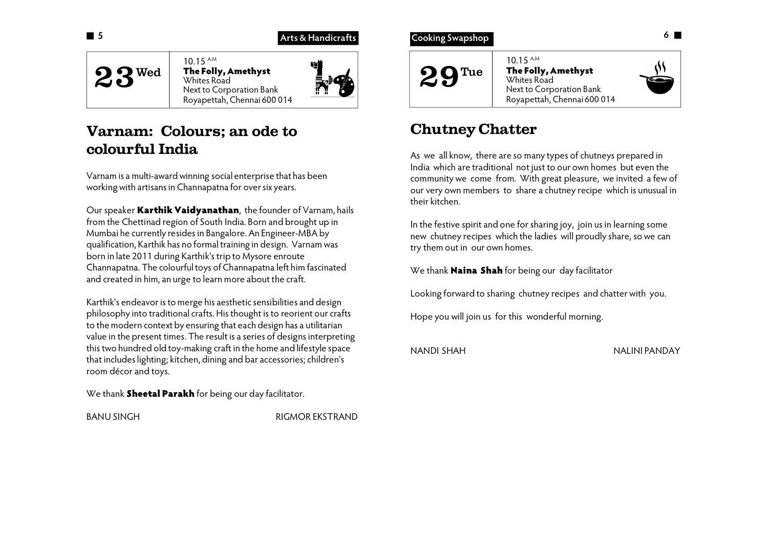





## **Varnam: Colours; an ode to colourful India**

Varnam is a multi-award winning social enterprise that has been working with artisans in Channapatna for over six years.

Our speaker **Karthik Vaidyanathan**, the founder of Varnam, hails from the Chettinad region of South India. Born and brought up in Mumbai he currently resides in Bangalore. An Engineer-MBA by qualification, Karthik has no formal training in design. Varnam was born in late 2011 during Karthik's trip to Mysore enroute Channapatna. The colourful toys of Channapatna left him fascinated and created in him, an urge to learn more about the craft.

Karthik's endeavor is to merge his aesthetic sensibilities and design philosophy into traditional crafts. His thought is to reorient our crafts to the modern context by ensuring that each design has a utilitarian value in the present times. The result is a series of designs interpreting this two hundred old toy-making craft in the home and lifestyle space that includes lighting; kitchen, dining and bar accessories; children's room décor and toys.

We thank **Sheetal Parakh** for being our day facilitator.

BANU SINGH RIGMOR EKSTRAND



# **Chutney Chatter**

As we all know, there are so many types of chutneys prepared in India which are traditional not just to our own homes but even the community we come from. With great pleasure, we invited a few of our very own members to share a chutney recipe which is unusual in their kitchen.

In the festive spirit and one for sharing joy, join us in learning some new chutney recipes which the ladies will proudly share, so we can try them out in our own homes.

We thank **Naina Shah** for being our day facilitator

Looking forward to sharing chutney recipes and chatter with you.

Hope you will join us for this wonderful morning.

NANDI SHAH NALINI PANDAY